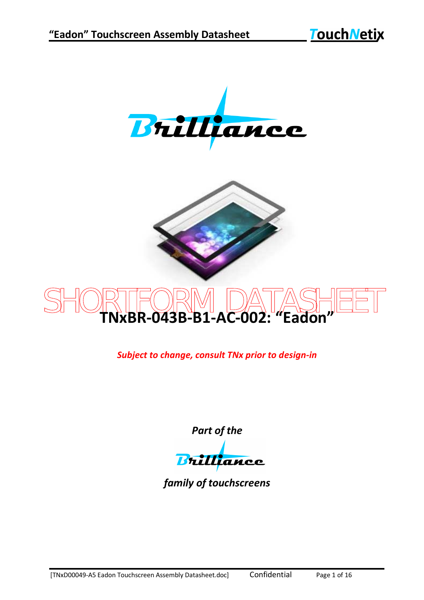



## SHORTFORM DATASHEET **TNxBR-043B-B1-AC-002: "Eadon"**

*Subject to change, consult TNx prior to design-in*

*Part of the*

Brilliance

*family of touchscreens*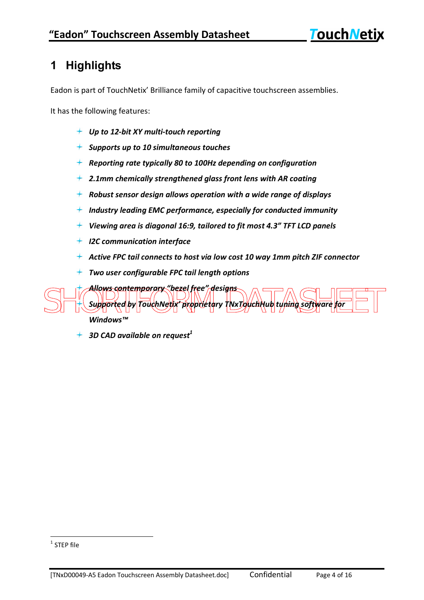## **1 Highlights**

Eadon is part of TouchNetix' Brilliance family of capacitive touchscreen assemblies.

It has the following features:

- *Up to 12-bit XY multi-touch reporting*
- *Supports up to 10 simultaneous touches*
- *Reporting rate typically 80 to 100Hz depending on configuration*
- *2.1mm chemically strengthened glass front lens with AR coating*
- *Robust sensor design allows operation with a wide range of displays*
- $+$  Industry leading EMC performance, especially for conducted immunity
- *Viewing area is diagonal 16:9, tailored to fit most 4.3" TFT LCD panels*
- *I2C communication interface*
- *Active FPC tail connects to host via low cost 10 way 1mm pitch ZIF connector*
- *Two user configurable FPC tail length options*

SHORTFORM DATASHEET *Allows contemporary "bezel free" designs* Supported by TouchNetix proprietary TNxJJquchHub tuning soft *Windows™*

*3D CAD available on request<sup>1</sup>*

 1 STEP file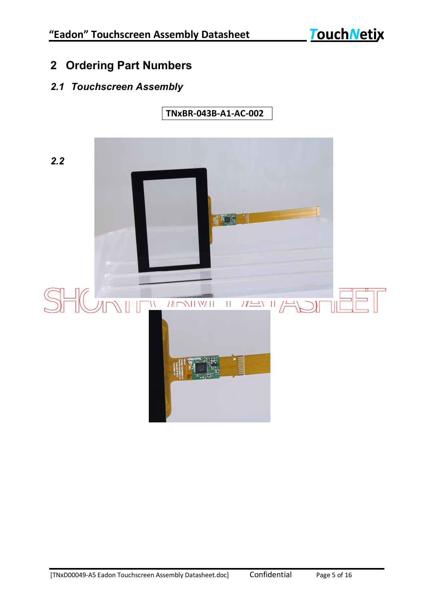## **2 Ordering Part Numbers**

### *2.1 Touchscreen Assembly*

*2.2*  $\frac{1}{2}$ SHORTFORM DATET

**TNxBR-043B-A1-AC-002**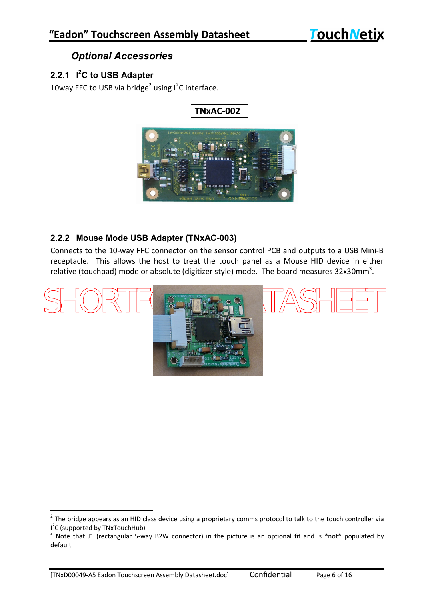### *Optional Accessories*

#### **2.2.1 I <sup>2</sup>C to USB Adapter**

 $\overline{a}$ 

10way FFC to USB via bridge<sup>2</sup> using  $I^2C$  interface.



#### **2.2.2 Mouse Mode USB Adapter (TNxAC-003)**

Connects to the 10-way FFC connector on the sensor control PCB and outputs to a USB Mini-B receptacle. This allows the host to treat the touch panel as a Mouse HID device in either relative (touchpad) mode or absolute (digitizer style) mode. The board measures 32x30mm<sup>3</sup>.



 $2$  The bridge appears as an HID class device using a proprietary comms protocol to talk to the touch controller via I<sup>2</sup>C (supported by TNxTouchHub)

 $3$  Note that J1 (rectangular 5-way B2W connector) in the picture is an optional fit and is \*not\* populated by default.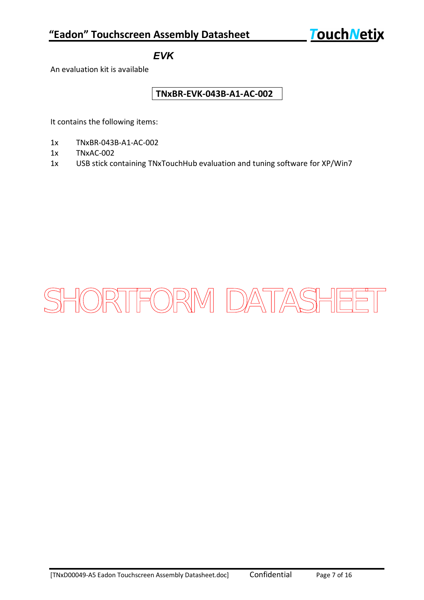#### *EVK*

An evaluation kit is available

#### **TNxBR-EVK-043B-A1-AC-002**

It contains the following items:

- 1x TNxBR-043B-A1-AC-002
- 1x TNxAC-002
- 1x USB stick containing TNxTouchHub evaluation and tuning software for XP/Win7

## SHORTFORM DATASHEET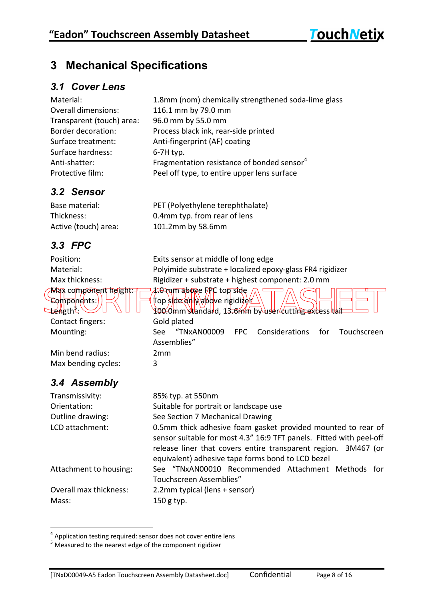Max component height: 7.0 mm above FRC top side Components: Top side only above rigidizer

Assemblies"

## **3 Mechanical Specifications**

#### *3.1 Cover Lens*

| Material:                  | 1.8mm (nom) chemically strengthened soda-lime glass    |
|----------------------------|--------------------------------------------------------|
| <b>Overall dimensions:</b> | 116.1 mm by 79.0 mm                                    |
| Transparent (touch) area:  | 96.0 mm by 55.0 mm                                     |
| Border decoration:         | Process black ink, rear-side printed                   |
| Surface treatment:         | Anti-fingerprint (AF) coating                          |
| Surface hardness:          | $6-7H$ typ.                                            |
| Anti-shatter:              | Fragmentation resistance of bonded sensor <sup>4</sup> |
| Protective film:           | Peel off type, to entire upper lens surface            |

## *3.2 Sensor*

Base material: PET (Polyethylene terephthalate) Thickness: 0.4mm typ. from rear of lens Active (touch) area: 101.2mm by 58.6mm

## *3.3 FPC*

Position: Exits sensor at middle of long edge Material: Polyimide substrate + localized epoxy-glass FR4 rigidizer Max thickness: Rigidizer + substrate + highest component: 2.0 mm

 $\begin{CD} \mathcal{L}(\mathcal{L}) \cong \mathcal{L}(\mathcal{L}) \cong \mathcal{L}(\mathcal{L}) \cong \mathcal{L}(\mathcal{L}) \cong \mathcal{L}(\mathcal{L}) \cong \mathcal{L}(\mathcal{L}) \cong \mathcal{L}(\mathcal{L}) \cong \mathcal{L}(\mathcal{L}) \cong \mathcal{L}(\mathcal{L}) \cong \mathcal{L}(\mathcal{L}) \cong \mathcal{L}(\mathcal{L}) \cong \mathcal{L}(\mathcal{L}) \cong \mathcal{L}(\mathcal{L}) \cong \mathcal{L}(\mathcal{L}) \cong \mathcal{L$ Contact fingers: Gold plated Mounting: See "TNxAN00009 FPC Considerations for Touchscreen

 $\sharp$ éngth $^{\mathfrak{p},\backslash}$ 

Min bend radius: 2mm Max bending cycles: 3

## *3.4 Assembly*

Mass: 150 g typ.

Transmissivity: 85% typ. at 550nm Orientation: Suitable for portrait or landscape use Outline drawing: See Section 7 Mechanical Drawing LCD attachment: 0.5mm thick adhesive foam gasket provided mounted to rear of sensor suitable for most 4.3" 16:9 TFT panels. Fitted with peel-off release liner that covers entire transparent region. 3M467 (or equivalent) adhesive tape forms bond to LCD bezel Attachment to housing: See "TNxAN00010 Recommended Attachment Methods for Touchscreen Assemblies"

Overall max thickness: 2.2mm typical (lens + sensor)

 4 Application testing required: sensor does not cover entire lens

 $5$  Measured to the nearest edge of the component rigidizer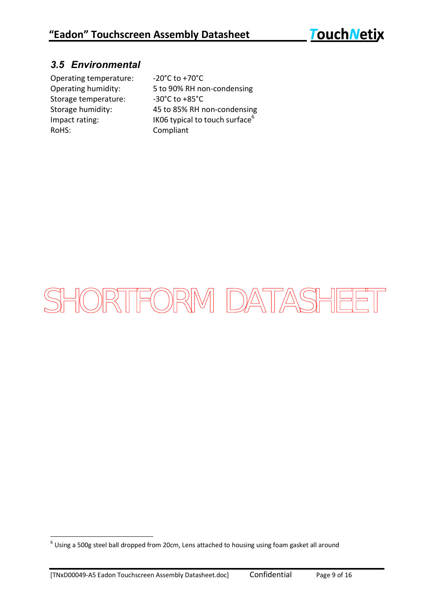### *3.5 Environmental*

Operating temperature: -20°C to +70°C Storage temperature: -30°C to +85°C RoHS: Compliant

Operating humidity: 5 to 90% RH non-condensing Storage humidity: 45 to 85% RH non-condensing Impact rating:  $\frac{1}{100}$  IK06 typical to touch surface<sup>6</sup>

# SHORTFORM DATASHEET

 6 Using a 500g steel ball dropped from 20cm, Lens attached to housing using foam gasket all around